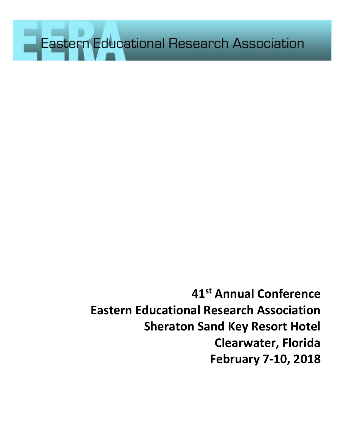Eastern Educational Research Association

**41 st Annual Conference Eastern Educational Research Association Sheraton Sand Key Resort Hotel Clearwater, Florida February 7-10, 2018**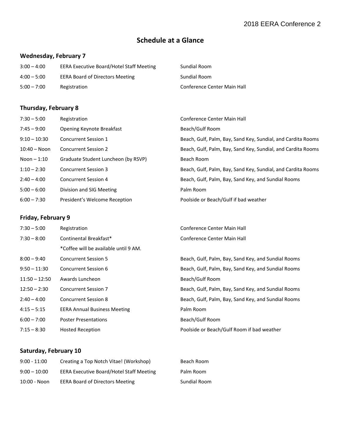## **Schedule at a Glance**

## **Wednesday, February 7**

| $3:00 - 4:00$ | <b>EERA Executive Board/Hotel Staff Meeting</b> | Sundial Room                |
|---------------|-------------------------------------------------|-----------------------------|
| $4:00 - 5:00$ | <b>EERA Board of Directors Meeting</b>          | Sundial Room                |
| $5:00 - 7:00$ | Registration                                    | Conference Center Main Hall |

## **Thursday, February 8**

| $7:30 - 5:00$   | Registration                        | Conference Center Main Hall                                  |
|-----------------|-------------------------------------|--------------------------------------------------------------|
| $7:45 - 9:00$   | Opening Keynote Breakfast           | Beach/Gulf Room                                              |
| $9:10 - 10:30$  | Concurrent Session 1                | Beach, Gulf, Palm, Bay, Sand Key, Sundial, and Cardita Rooms |
| $10:40 - N$ oon | <b>Concurrent Session 2</b>         | Beach, Gulf, Palm, Bay, Sand Key, Sundial, and Cardita Rooms |
| Noon $-1:10$    | Graduate Student Luncheon (by RSVP) | Beach Room                                                   |
| $1:10 - 2:30$   | <b>Concurrent Session 3</b>         | Beach, Gulf, Palm, Bay, Sand Key, Sundial, and Cardita Rooms |
| $2:40 - 4:00$   | <b>Concurrent Session 4</b>         | Beach, Gulf, Palm, Bay, Sand Key, and Sundial Rooms          |
| $5:00 - 6:00$   | Division and SIG Meeting            | Palm Room                                                    |
| $6:00 - 7:30$   | President's Welcome Reception       | Poolside or Beach/Gulf if bad weather                        |

## **Friday, February 9**

| $7:30 - 5:00$   | Registration                          | Conference Center Main Hall                         |
|-----------------|---------------------------------------|-----------------------------------------------------|
| $7:30 - 8:00$   | Continental Breakfast*                | Conference Center Main Hall                         |
|                 | *Coffee will be available until 9 AM. |                                                     |
| $8:00 - 9:40$   | <b>Concurrent Session 5</b>           | Beach, Gulf, Palm, Bay, Sand Key, and Sundial Rooms |
| $9:50 - 11:30$  | Concurrent Session 6                  | Beach, Gulf, Palm, Bay, Sand Key, and Sundial Rooms |
| $11:50 - 12:50$ | Awards Luncheon                       | Beach/Gulf Room                                     |
| $12:50 - 2:30$  | <b>Concurrent Session 7</b>           | Beach, Gulf, Palm, Bay, Sand Key, and Sundial Rooms |
| $2:40 - 4:00$   | <b>Concurrent Session 8</b>           | Beach, Gulf, Palm, Bay, Sand Key, and Sundial Rooms |
| $4:15 - 5:15$   | <b>EERA Annual Business Meeting</b>   | Palm Room                                           |
| $6:00 - 7:00$   | <b>Poster Presentations</b>           | Beach/Gulf Room                                     |
| $7:15 - 8:30$   | <b>Hosted Reception</b>               | Poolside or Beach/Gulf Room if bad weather          |

## **Saturday, February 10**

| $9:00 - 11:00$  | Creating a Top Notch Vitae! (Workshop)          | Beach Room          |
|-----------------|-------------------------------------------------|---------------------|
| $9:00 - 10:00$  | <b>EERA Executive Board/Hotel Staff Meeting</b> | Palm Room           |
| $10:00 - N$ oon | <b>EERA Board of Directors Meeting</b>          | <b>Sundial Room</b> |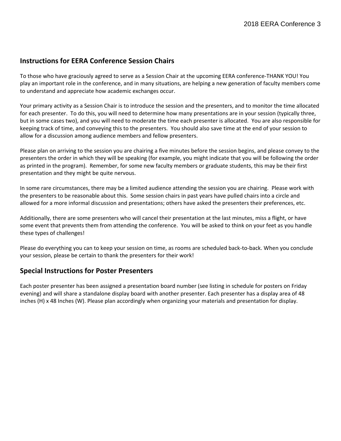## **Instructions for EERA Conference Session Chairs**

To those who have graciously agreed to serve as a Session Chair at the upcoming EERA conference-THANK YOU! You play an important role in the conference, and in many situations, are helping a new generation of faculty members come to understand and appreciate how academic exchanges occur.

Your primary activity as a Session Chair is to introduce the session and the presenters, and to monitor the time allocated for each presenter. To do this, you will need to determine how many presentations are in your session (typically three, but in some cases two), and you will need to moderate the time each presenter is allocated. You are also responsible for keeping track of time, and conveying this to the presenters. You should also save time at the end of your session to allow for a discussion among audience members and fellow presenters.

Please plan on arriving to the session you are chairing a five minutes before the session begins, and please convey to the presenters the order in which they will be speaking (for example, you might indicate that you will be following the order as printed in the program). Remember, for some new faculty members or graduate students, this may be their first presentation and they might be quite nervous.

In some rare circumstances, there may be a limited audience attending the session you are chairing. Please work with the presenters to be reasonable about this. Some session chairs in past years have pulled chairs into a circle and allowed for a more informal discussion and presentations; others have asked the presenters their preferences, etc.

Additionally, there are some presenters who will cancel their presentation at the last minutes, miss a flight, or have some event that prevents them from attending the conference. You will be asked to think on your feet as you handle these types of challenges!

Please do everything you can to keep your session on time, as rooms are scheduled back-to-back. When you conclude your session, please be certain to thank the presenters for their work!

## **Special Instructions for Poster Presenters**

Each poster presenter has been assigned a presentation board number (see listing in schedule for posters on Friday evening) and will share a standalone display board with another presenter. Each presenter has a display area of 48 inches (H) x 48 Inches (W). Please plan accordingly when organizing your materials and presentation for display.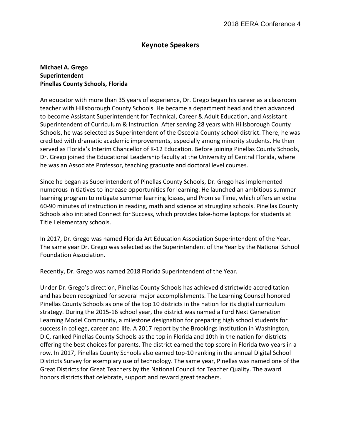## **Keynote Speakers**

## **Michael A. Grego Superintendent Pinellas County Schools, Florida**

An educator with more than 35 years of experience, Dr. Grego began his career as a classroom teacher with Hillsborough County Schools. He became a department head and then advanced to become Assistant Superintendent for Technical, Career & Adult Education, and Assistant Superintendent of Curriculum & Instruction. After serving 28 years with Hillsborough County Schools, he was selected as Superintendent of the Osceola County school district. There, he was credited with dramatic academic improvements, especially among minority students. He then served as Florida's Interim Chancellor of K-12 Education. Before joining Pinellas County Schools, Dr. Grego joined the Educational Leadership faculty at the University of Central Florida, where he was an Associate Professor, teaching graduate and doctoral level courses.

Since he began as Superintendent of Pinellas County Schools, Dr. Grego has implemented numerous initiatives to increase opportunities for learning. He launched an ambitious summer learning program to mitigate summer learning losses, and Promise Time, which offers an extra 60-90 minutes of instruction in reading, math and science at struggling schools. Pinellas County Schools also initiated Connect for Success, which provides take-home laptops for students at Title I elementary schools.

In 2017, Dr. Grego was named Florida Art Education Association Superintendent of the Year. The same year Dr. Grego was selected as the Superintendent of the Year by the National School Foundation Association.

Recently, Dr. Grego was named 2018 Florida Superintendent of the Year.

Under Dr. Grego's direction, Pinellas County Schools has achieved districtwide accreditation and has been recognized for several major accomplishments. The Learning Counsel honored Pinellas County Schools as one of the top 10 districts in the nation for its digital curriculum strategy. During the 2015-16 school year, the district was named a Ford Next Generation Learning Model Community, a milestone designation for preparing high school students for success in college, career and life. A 2017 report by the Brookings Institution in Washington, D.C, ranked Pinellas County Schools as the top in Florida and 10th in the nation for districts offering the best choices for parents. The district earned the top score in Florida two years in a row. In 2017, Pinellas County Schools also earned top-10 ranking in the annual Digital School Districts Survey for exemplary use of technology. The same year, Pinellas was named one of the Great Districts for Great Teachers by the National Council for Teacher Quality. The award honors districts that celebrate, support and reward great teachers.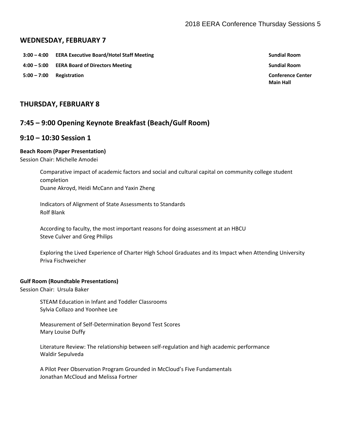## **WEDNESDAY, FEBRUARY 7**

- **3:00 – 4:00 EERA Executive Board/Hotel Staff Meeting Sundial Room**
- **4:00 – 5:00 EERA Board of Directors Meeting Sundial Room**
- **5:00 – 7:00 Registration Conference Center**

**Main Hall**

## **THURSDAY, FEBRUARY 8**

## **7:45 – 9:00 Opening Keynote Breakfast (Beach/Gulf Room)**

## **9:10 – 10:30 Session 1**

### **Beach Room (Paper Presentation)**

Session Chair: Michelle Amodei

Comparative impact of academic factors and social and cultural capital on community college student completion Duane Akroyd, Heidi McCann and Yaxin Zheng

Indicators of Alignment of State Assessments to Standards Rolf Blank

According to faculty, the most important reasons for doing assessment at an HBCU Steve Culver and Greg Philips

Exploring the Lived Experience of Charter High School Graduates and its Impact when Attending University Priva Fischweicher

### **Gulf Room (Roundtable Presentations)**

Session Chair: Ursula Baker

STEAM Education in Infant and Toddler Classrooms Sylvia Collazo and Yoonhee Lee

Measurement of Self-Determination Beyond Test Scores Mary Louise Duffy

Literature Review: The relationship between self-regulation and high academic performance Waldir Sepulveda

A Pilot Peer Observation Program Grounded in McCloud's Five Fundamentals Jonathan McCloud and Melissa Fortner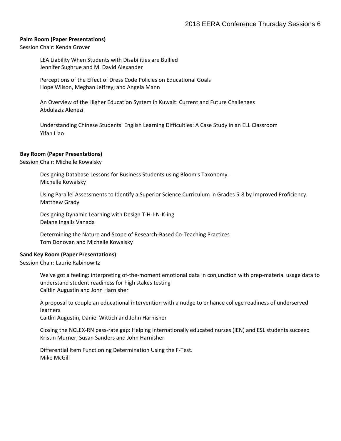### **Palm Room (Paper Presentations)**

Session Chair: Kenda Grover

LEA Liability When Students with Disabilities are Bullied Jennifer Sughrue and M. David Alexander

Perceptions of the Effect of Dress Code Policies on Educational Goals Hope Wilson, Meghan Jeffrey, and Angela Mann

An Overview of the Higher Education System in Kuwait: Current and Future Challenges Abdulaziz Alenezi

Understanding Chinese Students' English Learning Difficulties: A Case Study in an ELL Classroom Yifan Liao

### **Bay Room (Paper Presentations)**

Session Chair: Michelle Kowalsky

Designing Database Lessons for Business Students using Bloom's Taxonomy. Michelle Kowalsky

Using Parallel Assessments to Identify a Superior Science Curriculum in Grades 5-8 by Improved Proficiency. Matthew Grady

Designing Dynamic Learning with Design T-H-I-N-K-ing Delane Ingalls Vanada

Determining the Nature and Scope of Research-Based Co-Teaching Practices Tom Donovan and Michelle Kowalsky

#### **Sand Key Room (Paper Presentations)**

Session Chair: Laurie Rabinowitz

We've got a feeling: interpreting of-the-moment emotional data in conjunction with prep-material usage data to understand student readiness for high stakes testing Caitlin Augustin and John Harnisher

A proposal to couple an educational intervention with a nudge to enhance college readiness of underserved learners

Caitlin Augustin, Daniel Wittich and John Harnisher

Closing the NCLEX-RN pass-rate gap: Helping internationally educated nurses (IEN) and ESL students succeed Kristin Murner, Susan Sanders and John Harnisher

Differential Item Functioning Determination Using the F-Test. Mike McGill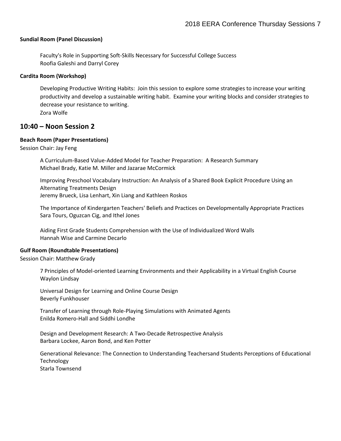### **Sundial Room (Panel Discussion)**

Faculty's Role in Supporting Soft-Skills Necessary for Successful College Success Roofia Galeshi and Darryl Corey

### **Cardita Room (Workshop)**

Developing Productive Writing Habits: Join this session to explore some strategies to increase your writing productivity and develop a sustainable writing habit. Examine your writing blocks and consider strategies to decrease your resistance to writing.

Zora Wolfe

## **10:40 – Noon Session 2**

### **Beach Room (Paper Presentations)**

Session Chair: Jay Feng

A Curriculum-Based Value-Added Model for Teacher Preparation: A Research Summary Michael Brady, Katie M. Miller and Jazarae McCormick

Improving Preschool Vocabulary Instruction: An Analysis of a Shared Book Explicit Procedure Using an Alternating Treatments Design Jeremy Brueck, Lisa Lenhart, Xin Liang and Kathleen Roskos

The Importance of Kindergarten Teachers' Beliefs and Practices on Developmentally Appropriate Practices Sara Tours, Oguzcan Cig, and Ithel Jones

Aiding First Grade Students Comprehension with the Use of Individualized Word Walls Hannah Wise and Carmine Decarlo

#### **Gulf Room (Roundtable Presentations)**

Session Chair: Matthew Grady

7 Principles of Model-oriented Learning Environments and their Applicability in a Virtual English Course Waylon Lindsay

Universal Design for Learning and Online Course Design Beverly Funkhouser

Transfer of Learning through Role-Playing Simulations with Animated Agents Enilda Romero-Hall and Siddhi Londhe

Design and Development Research: A Two-Decade Retrospective Analysis Barbara Lockee, Aaron Bond, and Ken Potter

Generational Relevance: The Connection to Understanding Teachersand Students Perceptions of Educational Technology Starla Townsend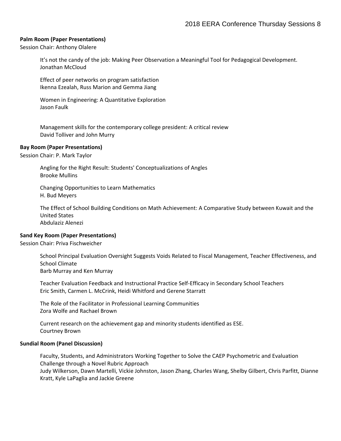### **Palm Room (Paper Presentations)**

Session Chair: Anthony Olalere

It's not the candy of the job: Making Peer Observation a Meaningful Tool for Pedagogical Development. Jonathan McCloud

Effect of peer networks on program satisfaction Ikenna Ezealah, Russ Marion and Gemma Jiang

Women in Engineering: A Quantitative Exploration Jason Faulk

Management skills for the contemporary college president: A critical review David Tolliver and John Murry

#### **Bay Room (Paper Presentations)**

Session Chair: P. Mark Taylor

Angling for the Right Result: Students' Conceptualizations of Angles Brooke Mullins

Changing Opportunities to Learn Mathematics H. Bud Meyers

The Effect of School Building Conditions on Math Achievement: A Comparative Study between Kuwait and the United States Abdulaziz Alenezi

### **Sand Key Room (Paper Presentations)**

Session Chair: Priva Fischweicher

School Principal Evaluation Oversight Suggests Voids Related to Fiscal Management, Teacher Effectiveness, and School Climate Barb Murray and Ken Murray

Teacher Evaluation Feedback and Instructional Practice Self-Efficacy in Secondary School Teachers Eric Smith, Carmen L. McCrink, Heidi Whitford and Gerene Starratt

The Role of the Facilitator in Professional Learning Communities Zora Wolfe and Rachael Brown

Current research on the achievement gap and minority students identified as ESE. Courtney Brown

### **Sundial Room (Panel Discussion)**

Faculty, Students, and Administrators Working Together to Solve the CAEP Psychometric and Evaluation Challenge through a Novel Rubric Approach Judy Wilkerson, Dawn Martelli, Vickie Johnston, Jason Zhang, Charles Wang, Shelby Gilbert, Chris Parfitt, Dianne Kratt, Kyle LaPaglia and Jackie Greene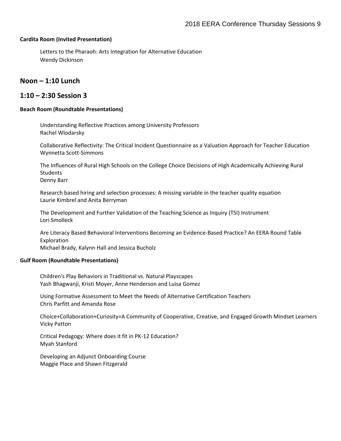#### **Cardita Room (Invited Presentation)**

Letters to the Pharaoh: Arts Integration for Alternative Education Wendy Dickinson

## **Noon – 1:10 Lunch**

## **1:10 – 2:30 Session 3**

### **Beach Room (Roundtable Presentations)**

Understanding Reflective Practices among University Professors Rachel Wlodarsky

Collaborative Reflectivity: The Critical Incident Questionnaire as a Valuation Approach for Teacher Education Wynnetta Scott-Simmons

The Influences of Rural High Schools on the College Choice Decisions of High Academically Achieving Rural Students Denny Barr

Research based hiring and selection processes: A missing variable in the teacher quality equation Laurie Kimbrel and Anita Berryman

The Development and Further Validation of the Teaching Science as Inquiry (TSI) Instrument Lori Smolleck

Are Literacy Based Behavioral Interventions Becoming an Evidence-Based Practice? An EERA Round Table Exploration Michael Brady, Kalynn Hall and Jessica Bucholz

#### **Gulf Room (Roundtable Presentations)**

Children's Play Behaviors in Traditional vs. Natural Playscapes Yash Bhagwanji, Kristi Moyer, Anne Henderson and Luisa Gomez

Using Formative Assessment to Meet the Needs of Alternative Certification Teachers Chris Parfitt and Amanda Rose

Choice+Collaboration+Curiosity=A Community of Cooperative, Creative, and Engaged Growth Mindset Learners Vicky Patton

Critical Pedagogy: Where does it fit in PK-12 Education? Myah Stanford

Developing an Adjunct Onboarding Course Maggie Place and Shawn Fitzgerald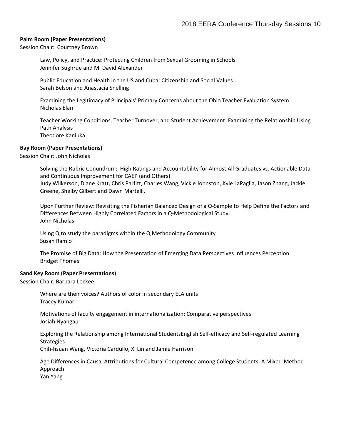### **Palm Room (Paper Presentations)**

Session Chair: Courtney Brown

Law, Policy, and Practice: Protecting Children from Sexual Grooming in Schools Jennifer Sughrue and M. David Alexander

Public Education and Health in the US and Cuba: Citizenship and Social Values Sarah Belson and Anastacia Snelling

Examining the Legitimacy of Principals' Primary Concerns about the Ohio Teacher Evaluation System Nicholas Elam

Teacher Working Conditions, Teacher Turnover, and Student Achievement: Examining the Relationship Using Path Analysis Theodore Kaniuka

### **Bay Room (Paper Presentations)**

Session Chair: John Nicholas

Solving the Rubric Conundrum: High Ratings and Accountability for Almost All Graduates vs. Actionable Data and Continuous Improvement for CAEP (and Others) Judy Wilkerson, Diane Kratt, Chris Parfitt, Charles Wang, Vickie Johnston, Kyle LaPaglia, Jason Zhang, Jackie Greene, Shelby Gilbert and Dawn Martelli.

Upon Further Review: Revisiting the Fisherian Balanced Design of a Q-Sample to Help Define the Factors and Differences Between Highly Correlated Factors in a Q-Methodological Study. John Nicholas

Using Q to study the paradigms within the Q Methodology Community Susan Ramlo

The Promise of Big Data: How the Presentation of Emerging Data Perspectives Influences Perception Bridget Thomas

#### **Sand Key Room (Paper Presentations)**

Session Chair: Barbara Lockee

Where are their voices? Authors of color in secondary ELA units Tracey Kumar

Motivations of faculty engagement in internationalization: Comparative perspectives Josiah Nyangau

Exploring the Relationship among International StudentsEnglish Self-efficacy and Self-regulated Learning **Strategies** 

Chih-hsuan Wang, Victoria Cardullo, Xi Lin and Jamie Harrison

Age Differences in Causal Attributions for Cultural Competence among College Students: A Mixed-Method Approach

Yan Yang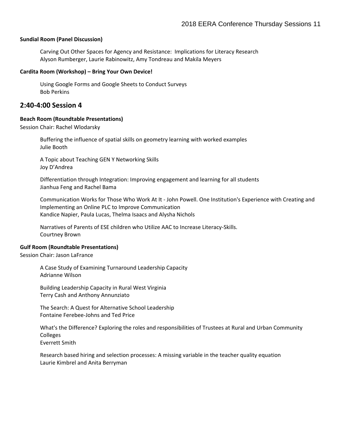### **Sundial Room (Panel Discussion)**

Carving Out Other Spaces for Agency and Resistance: Implications for Literacy Research Alyson Rumberger, Laurie Rabinowitz, Amy Tondreau and Makila Meyers

### **Cardita Room (Workshop) – Bring Your Own Device!**

Using Google Forms and Google Sheets to Conduct Surveys Bob Perkins

## **2:40-4:00 Session 4**

### **Beach Room (Roundtable Presentations)**

Session Chair: Rachel Wlodarsky

Buffering the influence of spatial skills on geometry learning with worked examples Julie Booth

A Topic about Teaching GEN Y Networking Skills Joy D'Andrea

Differentiation through Integration: Improving engagement and learning for all students Jianhua Feng and Rachel Bama

Communication Works for Those Who Work At It - John Powell. One Institution's Experience with Creating and Implementing an Online PLC to Improve Communication Kandice Napier, Paula Lucas, Thelma Isaacs and Alysha Nichols

Narratives of Parents of ESE children who Utilize AAC to Increase Literacy-Skills. Courtney Brown

#### **Gulf Room (Roundtable Presentations)**

Session Chair: Jason LaFrance

A Case Study of Examining Turnaround Leadership Capacity Adrianne Wilson

Building Leadership Capacity in Rural West Virginia Terry Cash and Anthony Annunziato

The Search: A Quest for Alternative School Leadership Fontaine Ferebee-Johns and Ted Price

What's the Difference? Exploring the roles and responsibilities of Trustees at Rural and Urban Community **Colleges** Everrett Smith

Research based hiring and selection processes: A missing variable in the teacher quality equation Laurie Kimbrel and Anita Berryman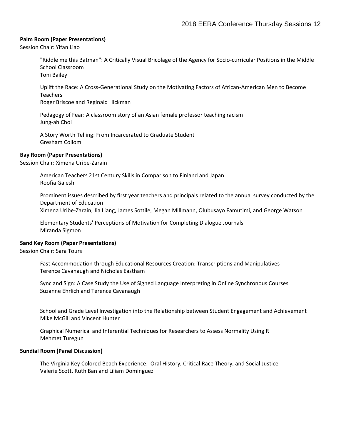### **Palm Room (Paper Presentations)**

Session Chair: Yifan Liao

"Riddle me this Batman": A Critically Visual Bricolage of the Agency for Socio-curricular Positions in the Middle School Classroom Toni Bailey

Uplift the Race: A Cross-Generational Study on the Motivating Factors of African-American Men to Become Teachers

Roger Briscoe and Reginald Hickman

Pedagogy of Fear: A classroom story of an Asian female professor teaching racism Jung-ah Choi

A Story Worth Telling: From Incarcerated to Graduate Student Gresham Collom

### **Bay Room (Paper Presentations)**

Session Chair: Ximena Uribe-Zarain

American Teachers 21st Century Skills in Comparison to Finland and Japan Roofia Galeshi

Prominent issues described by first year teachers and principals related to the annual survey conducted by the Department of Education Ximena Uribe-Zarain, Jia Liang, James Sottile, Megan Millmann, Olubusayo Famutimi, and George Watson

Elementary Students' Perceptions of Motivation for Completing Dialogue Journals Miranda Sigmon

### **Sand Key Room (Paper Presentations)**

Session Chair: Sara Tours

Fast Accommodation through Educational Resources Creation: Transcriptions and Manipulatives Terence Cavanaugh and Nicholas Eastham

Sync and Sign: A Case Study the Use of Signed Language Interpreting in Online Synchronous Courses Suzanne Ehrlich and Terence Cavanaugh

School and Grade Level Investigation into the Relationship between Student Engagement and Achievement Mike McGill and Vincent Hunter

Graphical Numerical and Inferential Techniques for Researchers to Assess Normality Using R Mehmet Turegun

#### **Sundial Room (Panel Discussion)**

The Virginia Key Colored Beach Experience: Oral History, Critical Race Theory, and Social Justice Valerie Scott, Ruth Ban and Liliam Dominguez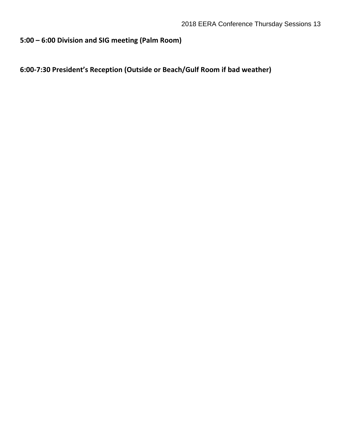## **5:00 – 6:00 Division and SIG meeting (Palm Room)**

# **6:00-7:30 President's Reception (Outside or Beach/Gulf Room if bad weather)**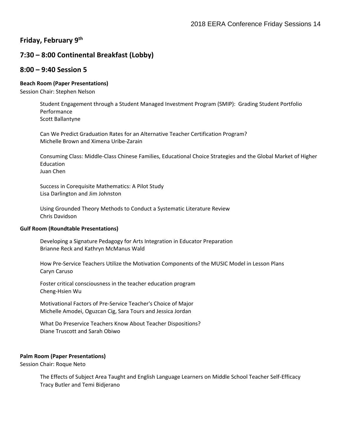## **Friday, February 9th**

## **7:30 – 8:00 Continental Breakfast (Lobby)**

## **8:00 – 9:40 Session 5**

## **Beach Room (Paper Presentations)**

Session Chair: Stephen Nelson

Student Engagement through a Student Managed Investment Program (SMIP): Grading Student Portfolio Performance Scott Ballantyne

Can We Predict Graduation Rates for an Alternative Teacher Certification Program? Michelle Brown and Ximena Uribe-Zarain

Consuming Class: Middle-Class Chinese Families, Educational Choice Strategies and the Global Market of Higher Education Juan Chen

Success in Corequisite Mathematics: A Pilot Study Lisa Darlington and Jim Johnston

Using Grounded Theory Methods to Conduct a Systematic Literature Review Chris Davidson

### **Gulf Room (Roundtable Presentations)**

Developing a Signature Pedagogy for Arts Integration in Educator Preparation Brianne Reck and Kathryn McManus Wald

How Pre-Service Teachers Utilize the Motivation Components of the MUSIC Model in Lesson Plans Caryn Caruso

Foster critical consciousness in the teacher education program Cheng-Hsien Wu

Motivational Factors of Pre-Service Teacher's Choice of Major Michelle Amodei, Oguzcan Cig, Sara Tours and Jessica Jordan

What Do Preservice Teachers Know About Teacher Dispositions? Diane Truscott and Sarah Obiwo

## **Palm Room (Paper Presentations)**

Session Chair: Roque Neto

The Effects of Subject Area Taught and English Language Learners on Middle School Teacher Self-Efficacy Tracy Butler and Temi Bidjerano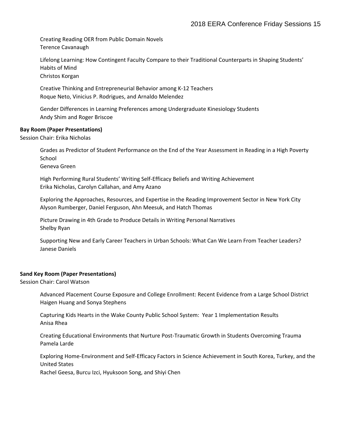Creating Reading OER from Public Domain Novels Terence Cavanaugh

Lifelong Learning: How Contingent Faculty Compare to their Traditional Counterparts in Shaping Students' Habits of Mind

Christos Korgan

Creative Thinking and Entrepreneurial Behavior among K-12 Teachers Roque Neto, Vinicius P. Rodrigues, and Arnaldo Melendez

Gender Differences in Learning Preferences among Undergraduate Kinesiology Students Andy Shim and Roger Briscoe

## **Bay Room (Paper Presentations)**

Session Chair: Erika Nicholas

Grades as Predictor of Student Performance on the End of the Year Assessment in Reading in a High Poverty School

Geneva Green

High Performing Rural Students' Writing Self-Efficacy Beliefs and Writing Achievement Erika Nicholas, Carolyn Callahan, and Amy Azano

Exploring the Approaches, Resources, and Expertise in the Reading Improvement Sector in New York City Alyson Rumberger, Daniel Ferguson, Ahn Meesuk, and Hatch Thomas

Picture Drawing in 4th Grade to Produce Details in Writing Personal Narratives Shelby Ryan

Supporting New and Early Career Teachers in Urban Schools: What Can We Learn From Teacher Leaders? Janese Daniels

### **Sand Key Room (Paper Presentations)**

Session Chair: Carol Watson

Advanced Placement Course Exposure and College Enrollment: Recent Evidence from a Large School District Haigen Huang and Sonya Stephens

Capturing Kids Hearts in the Wake County Public School System: Year 1 Implementation Results Anisa Rhea

Creating Educational Environments that Nurture Post-Traumatic Growth in Students Overcoming Trauma Pamela Larde

Exploring Home-Environment and Self-Efficacy Factors in Science Achievement in South Korea, Turkey, and the United States

Rachel Geesa, Burcu Izci, Hyuksoon Song, and Shiyi Chen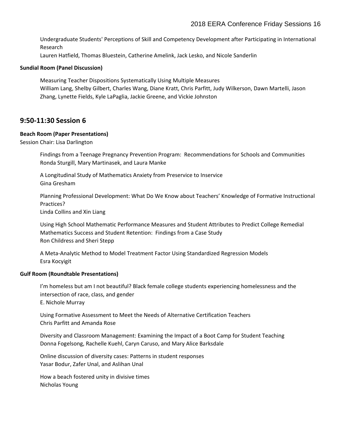Undergraduate Students' Perceptions of Skill and Competency Development after Participating in International Research

Lauren Hatfield, Thomas Bluestein, Catherine Amelink, Jack Lesko, and Nicole Sanderlin

### **Sundial Room (Panel Discussion)**

Measuring Teacher Dispositions Systematically Using Multiple Measures William Lang, Shelby Gilbert, Charles Wang, Diane Kratt, Chris Parfitt, Judy Wilkerson, Dawn Martelli, Jason Zhang, Lynette Fields, Kyle LaPaglia, Jackie Greene, and Vickie Johnston

## **9:50-11:30 Session 6**

## **Beach Room (Paper Presentations)**

Session Chair: Lisa Darlington

Findings from a Teenage Pregnancy Prevention Program: Recommendations for Schools and Communities Ronda Sturgill, Mary Martinasek, and Laura Manke

A Longitudinal Study of Mathematics Anxiety from Preservice to Inservice Gina Gresham

Planning Professional Development: What Do We Know about Teachers' Knowledge of Formative Instructional Practices?

Linda Collins and Xin Liang

Using High School Mathematic Performance Measures and Student Attributes to Predict College Remedial Mathematics Success and Student Retention: Findings from a Case Study Ron Childress and Sheri Stepp

A Meta-Analytic Method to Model Treatment Factor Using Standardized Regression Models Esra Kocyigit

### **Gulf Room (Roundtable Presentations)**

I'm homeless but am I not beautiful? Black female college students experiencing homelessness and the intersection of race, class, and gender E. Nichole Murray

Using Formative Assessment to Meet the Needs of Alternative Certification Teachers Chris Parfitt and Amanda Rose

Diversity and Classroom Management: Examining the Impact of a Boot Camp for Student Teaching Donna Fogelsong, Rachelle Kuehl, Caryn Caruso, and Mary Alice Barksdale

Online discussion of diversity cases: Patterns in student responses Yasar Bodur, Zafer Unal, and Aslihan Unal

How a beach fostered unity in divisive times Nicholas Young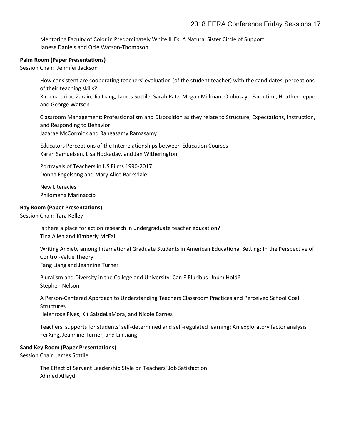Mentoring Faculty of Color in Predominately White IHEs: A Natural Sister Circle of Support Janese Daniels and Ocie Watson-Thompson

### **Palm Room (Paper Presentations)**

Session Chair: Jennifer Jackson

How consistent are cooperating teachers' evaluation (of the student teacher) with the candidates' perceptions of their teaching skills? Ximena Uribe-Zarain, Jia Liang, James Sottile, Sarah Patz, Megan Millman, Olubusayo Famutimi, Heather Lepper, and George Watson

Classroom Management: Professionalism and Disposition as they relate to Structure, Expectations, Instruction, and Responding to Behavior Jazarae McCormick and Rangasamy Ramasamy

Educators Perceptions of the Interrelationships between Education Courses Karen Samuelsen, Lisa Hockaday, and Jan Witherington

Portrayals of Teachers in US Films 1990-2017 Donna Fogelsong and Mary Alice Barksdale

New Literacies Philomena Marinaccio

## **Bay Room (Paper Presentations)**

Session Chair: Tara Kelley

Is there a place for action research in undergraduate teacher education? Tina Allen and Kimberly McFall

Writing Anxiety among International Graduate Students in American Educational Setting: In the Perspective of Control-Value Theory Fang Liang and Jeannine Turner

Pluralism and Diversity in the College and University: Can E Pluribus Unum Hold? Stephen Nelson

A Person-Centered Approach to Understanding Teachers Classroom Practices and Perceived School Goal **Structures** Helenrose Fives, Kit SaizdeLaMora, and Nicole Barnes

Teachers' supports for students' self-determined and self-regulated learning: An exploratory factor analysis Fei Xing, Jeannine Turner, and Lin Jiang

## **Sand Key Room (Paper Presentations)**

Session Chair: James Sottile

The Effect of Servant Leadership Style on Teachers' Job Satisfaction Ahmed Alfaydi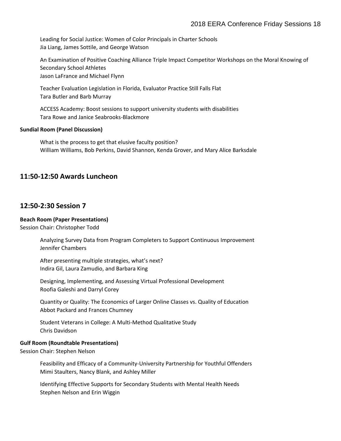Leading for Social Justice: Women of Color Principals in Charter Schools Jia Liang, James Sottile, and George Watson

An Examination of Positive Coaching Alliance Triple Impact Competitor Workshops on the Moral Knowing of Secondary School Athletes Jason LaFrance and Michael Flynn

Teacher Evaluation Legislation in Florida, Evaluator Practice Still Falls Flat Tara Butler and Barb Murray

ACCESS Academy: Boost sessions to support university students with disabilities Tara Rowe and Janice Seabrooks-Blackmore

### **Sundial Room (Panel Discussion)**

What is the process to get that elusive faculty position? William Williams, Bob Perkins, David Shannon, Kenda Grover, and Mary Alice Barksdale

## **11:50-12:50 Awards Luncheon**

## **12:50-2:30 Session 7**

## **Beach Room (Paper Presentations)**

Session Chair: Christopher Todd

Analyzing Survey Data from Program Completers to Support Continuous Improvement Jennifer Chambers

After presenting multiple strategies, what's next? Indira Gil, Laura Zamudio, and Barbara King

Designing, Implementing, and Assessing Virtual Professional Development Roofia Galeshi and Darryl Corey

Quantity or Quality: The Economics of Larger Online Classes vs. Quality of Education Abbot Packard and Frances Chumney

Student Veterans in College: A Multi-Method Qualitative Study Chris Davidson

## **Gulf Room (Roundtable Presentations)**

Session Chair: Stephen Nelson

Feasibility and Efficacy of a Community-University Partnership for Youthful Offenders Mimi Staulters, Nancy Blank, and Ashley Miller

Identifying Effective Supports for Secondary Students with Mental Health Needs Stephen Nelson and Erin Wiggin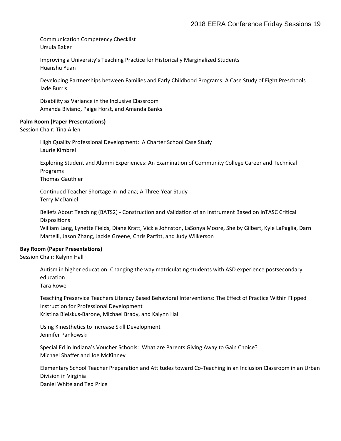Communication Competency Checklist Ursula Baker

Improving a University's Teaching Practice for Historically Marginalized Students Huanshu Yuan

Developing Partnerships between Families and Early Childhood Programs: A Case Study of Eight Preschools Jade Burris

Disability as Variance in the Inclusive Classroom Amanda Biviano, Paige Horst, and Amanda Banks

### **Palm Room (Paper Presentations)**

Session Chair: Tina Allen

High Quality Professional Development: A Charter School Case Study Laurie Kimbrel

Exploring Student and Alumni Experiences: An Examination of Community College Career and Technical Programs

Thomas Gauthier

Continued Teacher Shortage in Indiana; A Three-Year Study Terry McDaniel

Beliefs About Teaching (BATS2) - Construction and Validation of an Instrument Based on InTASC Critical Dispositions

William Lang, Lynette Fields, Diane Kratt, Vickie Johnston, LaSonya Moore, Shelby Gilbert, Kyle LaPaglia, Darn Martelli, Jason Zhang, Jackie Greene, Chris Parfitt, and Judy Wilkerson

### **Bay Room (Paper Presentations)**

Session Chair: Kalynn Hall

Autism in higher education: Changing the way matriculating students with ASD experience postsecondary education

Tara Rowe

Teaching Preservice Teachers Literacy Based Behavioral Interventions: The Effect of Practice Within Flipped Instruction for Professional Development Kristina Bielskus-Barone, Michael Brady, and Kalynn Hall

Using Kinesthetics to Increase Skill Development Jennifer Pankowski

Special Ed in Indiana's Voucher Schools: What are Parents Giving Away to Gain Choice? Michael Shaffer and Joe McKinney

Elementary School Teacher Preparation and Attitudes toward Co-Teaching in an Inclusion Classroom in an Urban Division in Virginia Daniel White and Ted Price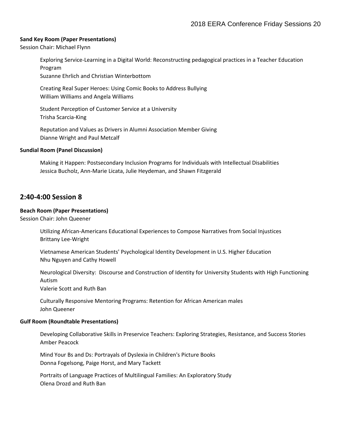### **Sand Key Room (Paper Presentations)**

Session Chair: Michael Flynn

Exploring Service-Learning in a Digital World: Reconstructing pedagogical practices in a Teacher Education Program

Suzanne Ehrlich and Christian Winterbottom

Creating Real Super Heroes: Using Comic Books to Address Bullying William Williams and Angela Williams

Student Perception of Customer Service at a University Trisha Scarcia-King

Reputation and Values as Drivers in Alumni Association Member Giving Dianne Wright and Paul Metcalf

### **Sundial Room (Panel Discussion)**

Making it Happen: Postsecondary Inclusion Programs for Individuals with Intellectual Disabilities Jessica Bucholz, Ann-Marie Licata, Julie Heydeman, and Shawn Fitzgerald

## **2:40-4:00 Session 8**

### **Beach Room (Paper Presentations)**

Session Chair: John Queener

Utilizing African-Americans Educational Experiences to Compose Narratives from Social Injustices Brittany Lee-Wright

Vietnamese American Students' Psychological Identity Development in U.S. Higher Education Nhu Nguyen and Cathy Howell

Neurological Diversity: Discourse and Construction of Identity for University Students with High Functioning Autism Valerie Scott and Ruth Ban

Culturally Responsive Mentoring Programs: Retention for African American males John Queener

#### **Gulf Room (Roundtable Presentations)**

Developing Collaborative Skills in Preservice Teachers: Exploring Strategies, Resistance, and Success Stories Amber Peacock

Mind Your Bs and Ds: Portrayals of Dyslexia in Children's Picture Books Donna Fogelsong, Paige Horst, and Mary Tackett

Portraits of Language Practices of Multilingual Families: An Exploratory Study Olena Drozd and Ruth Ban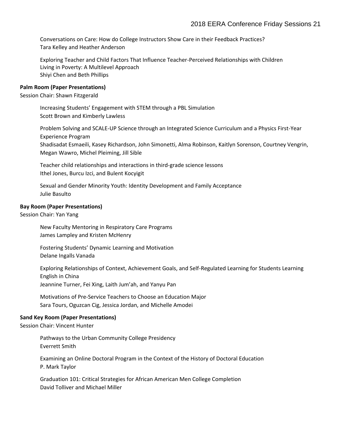Conversations on Care: How do College Instructors Show Care in their Feedback Practices? Tara Kelley and Heather Anderson

Exploring Teacher and Child Factors That Influence Teacher-Perceived Relationships with Children Living in Poverty: A Multilevel Approach Shiyi Chen and Beth Phillips

### **Palm Room (Paper Presentations)**

Session Chair: Shawn Fitzgerald

Increasing Students' Engagement with STEM through a PBL Simulation Scott Brown and Kimberly Lawless

Problem Solving and SCALE-UP Science through an Integrated Science Curriculum and a Physics First-Year Experience Program Shadisadat Esmaeili, Kasey Richardson, John Simonetti, Alma Robinson, Kaitlyn Sorenson, Courtney Vengrin, Megan Wawro, Michel Pleiming, Jill Sible

Teacher child relationships and interactions in third-grade science lessons Ithel Jones, Burcu Izci, and Bulent Kocyigit

Sexual and Gender Minority Youth: Identity Development and Family Acceptance Julie Basulto

### **Bay Room (Paper Presentations)**

Session Chair: Yan Yang

New Faculty Mentoring in Respiratory Care Programs James Lampley and Kristen McHenry

Fostering Students' Dynamic Learning and Motivation Delane Ingalls Vanada

Exploring Relationships of Context, Achievement Goals, and Self-Regulated Learning for Students Learning English in China

Jeannine Turner, Fei Xing, Laith Jum'ah, and Yanyu Pan

Motivations of Pre-Service Teachers to Choose an Education Major Sara Tours, Oguzcan Cig, Jessica Jordan, and Michelle Amodei

### **Sand Key Room (Paper Presentations)**

Session Chair: Vincent Hunter

Pathways to the Urban Community College Presidency Everrett Smith

Examining an Online Doctoral Program in the Context of the History of Doctoral Education P. Mark Taylor

Graduation 101: Critical Strategies for African American Men College Completion David Tolliver and Michael Miller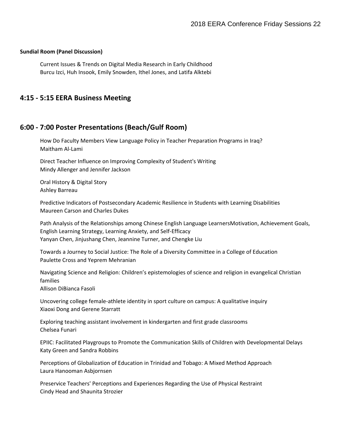### **Sundial Room (Panel Discussion)**

Current Issues & Trends on Digital Media Research in Early Childhood Burcu Izci, Huh Insook, Emily Snowden, Ithel Jones, and Latifa Alktebi

## **4:15 - 5:15 EERA Business Meeting**

## **6:00 - 7:00 Poster Presentations (Beach/Gulf Room)**

How Do Faculty Members View Language Policy in Teacher Preparation Programs in Iraq? Maitham Al-Lami

Direct Teacher Influence on Improving Complexity of Student's Writing Mindy Allenger and Jennifer Jackson

Oral History & Digital Story Ashley Barreau

Predictive Indicators of Postsecondary Academic Resilience in Students with Learning Disabilities Maureen Carson and Charles Dukes

Path Analysis of the Relationships among Chinese English Language LearnersMotivation, Achievement Goals, English Learning Strategy, Learning Anxiety, and Self-Efficacy Yanyan Chen, Jinjushang Chen, Jeannine Turner, and Chengke Liu

Towards a Journey to Social Justice: The Role of a Diversity Committee in a College of Education Paulette Cross and Yeprem Mehranian

Navigating Science and Religion: Children's epistemologies of science and religion in evangelical Christian families Allison DiBianca Fasoli

Uncovering college female-athlete identity in sport culture on campus: A qualitative inquiry Xiaoxi Dong and Gerene Starratt

Exploring teaching assistant involvement in kindergarten and first grade classrooms Chelsea Funari

EPIIC: Facilitated Playgroups to Promote the Communication Skills of Children with Developmental Delays Katy Green and Sandra Robbins

Perceptions of Globalization of Education in Trinidad and Tobago: A Mixed Method Approach Laura Hanooman Asbjornsen

Preservice Teachers' Perceptions and Experiences Regarding the Use of Physical Restraint Cindy Head and Shaunita Strozier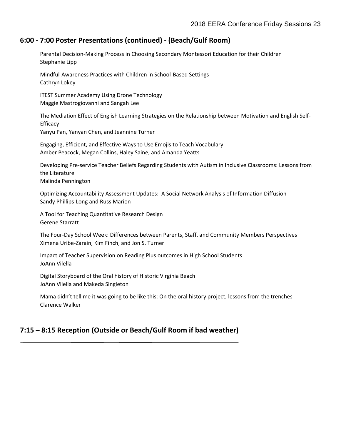## **6:00 - 7:00 Poster Presentations (continued) - (Beach/Gulf Room)**

Parental Decision-Making Process in Choosing Secondary Montessori Education for their Children Stephanie Lipp

Mindful-Awareness Practices with Children in School-Based Settings Cathryn Lokey

ITEST Summer Academy Using Drone Technology Maggie Mastrogiovanni and Sangah Lee

The Mediation Effect of English Learning Strategies on the Relationship between Motivation and English Self-Efficacy

Yanyu Pan, Yanyan Chen, and Jeannine Turner

Engaging, Efficient, and Effective Ways to Use Emojis to Teach Vocabulary Amber Peacock, Megan Collins, Haley Saine, and Amanda Yeatts

Developing Pre-service Teacher Beliefs Regarding Students with Autism in Inclusive Classrooms: Lessons from the Literature Malinda Pennington

Optimizing Accountability Assessment Updates: A Social Network Analysis of Information Diffusion Sandy Phillips-Long and Russ Marion

A Tool for Teaching Quantitative Research Design Gerene Starratt

The Four-Day School Week: Differences between Parents, Staff, and Community Members Perspectives Ximena Uribe-Zarain, Kim Finch, and Jon S. Turner

Impact of Teacher Supervision on Reading Plus outcomes in High School Students JoAnn Vilella

Digital Storyboard of the Oral history of Historic Virginia Beach JoAnn Vilella and Makeda Singleton

Mama didn't tell me it was going to be like this: On the oral history project, lessons from the trenches Clarence Walker

## **7:15 – 8:15 Reception (Outside or Beach/Gulf Room if bad weather)**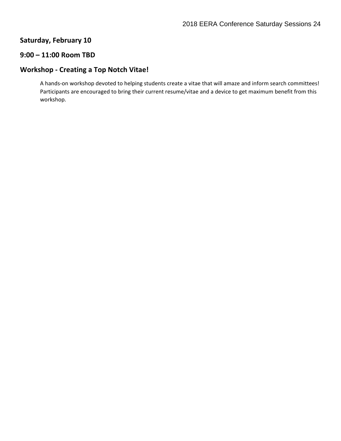## **Saturday, February 10**

## **9:00 – 11:00 Room TBD**

## **Workshop - Creating a Top Notch Vitae!**

A hands-on workshop devoted to helping students create a vitae that will amaze and inform search committees! Participants are encouraged to bring their current resume/vitae and a device to get maximum benefit from this workshop.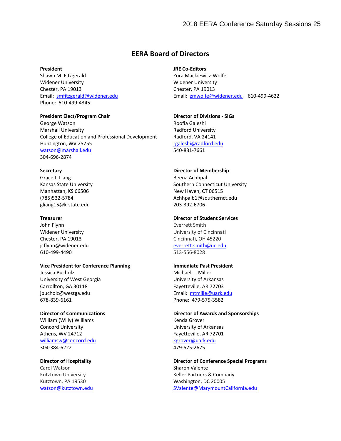## **EERA Board of Directors**

#### **President**

Shawn M. Fitzgerald Widener University Chester, PA 19013 Email: [smfitzgerald@widener.edu](mailto:smfitzgerald@widener.edu) Phone: 610-499-4345

### **President Elect/Program Chair**

George Watson Marshall University College of Education and Professional Development Huntington, WV 25755 [watson@marshall.edu](mailto:watson@marshall.edu) 304-696-2874

#### **Secretary**

Grace J. Liang Kansas State University Manhattan, KS 66506 (785)532-5784 gliang15@k-state.edu

#### **Treasurer**

John Flynn Widener University Chester, PA 19013 jcflynn@widener.edu 610-499-4490

### **Vice President for Conference Planning** Jessica Bucholz University of West Georgia Carrollton, GA 30118

jbucholz@westga.edu 678-839-6161

#### **Director of Communications**

William (Willy) Williams Concord University Athens, WV 24712 [williamsw@concord.edu](mailto:williamsw@concord.edu) 304-384-6222

### **Director of Hospitality**

Carol Watson Kutztown University Kutztown, PA 19530 [watson@kutztown.edu](mailto:watson@kutztown.edu)

## **JRE Co-Editors**

Zora Mackiewicz-Wolfe Widener University Chester, PA 19013 Email: [zmwolfe@widener.edu](mailto:zmwolfe@widener.edu) 610-499-4622

#### **Director of Divisions - SIGs**

Roofia Galeshi Radford University Radford, VA 24141 [rgaleshi@radford.edu](mailto:rgaleshi@radford.edu) 540-831-7661

#### **Director of Membership**

Beena Achhpal Southern Connecticut University New Haven, CT 06515 Achhpalb1@southernct.edu 203-392-6706

#### **Director of Student Services**

Everrett Smith University of Cincinnati Cincinnati, OH 45220 [everrett.smith@uc.edu](mailto:everrett.smith@uc.edu)  513-556-8028

### **Immediate Past President**

Michael T. Miller University of Arkansas Fayetteville, AR 72703 Email: [mtmille@uark.edu](mailto:mtmille@uark.edu) Phone: 479-575-3582

#### **Director of Awards and Sponsorships** Kenda Grover University of Arkansas Fayetteville, AR 72701 [kgrover@uark.edu](mailto:kgrover@uark.edu) 479-575-2675

**Director of Conference Special Programs** Sharon Valente Keller Partners & Company Washington, DC 20005 [SValente@MarymountCalifornia.edu](mailto:SValente@MarymountCalifornia.edu)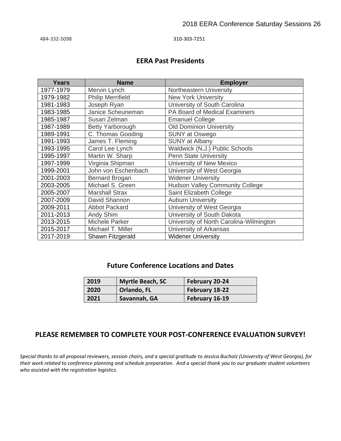484-332-5098 310-303-7251

## **EERA Past Presidents**

| Years     | <b>Name</b>              | <b>Employer</b>                         |
|-----------|--------------------------|-----------------------------------------|
| 1977-1979 | Mervin Lynch             | Northeastern University                 |
| 1979-1982 | <b>Philip Merrifield</b> | <b>New York University</b>              |
| 1981-1983 | Joseph Ryan              | University of South Carolina            |
| 1983-1985 | Janice Scheuneman        | PA Board of Medical Examiners           |
| 1985-1987 | Susan Zelman             | <b>Emanuel College</b>                  |
| 1987-1989 | Betty Yarborough         | <b>Old Dominion University</b>          |
| 1989-1991 | C. Thomas Gooding        | <b>SUNY at Oswego</b>                   |
| 1991-1993 | James T. Fleming         | <b>SUNY at Albany</b>                   |
| 1993-1995 | Carol Lee Lynch          | Waldwick (N.J.) Public Schools          |
| 1995-1997 | Martin W. Sharp          | <b>Penn State University</b>            |
| 1997-1999 | Virginia Shipman         | University of New Mexico                |
| 1999-2001 | John von Eschenbach      | University of West Georgia              |
| 2001-2003 | Bernard Brogan           | <b>Widener University</b>               |
| 2003-2005 | Michael S. Green         | <b>Hudson Valley Community College</b>  |
| 2005-2007 | <b>Marshall Strax</b>    | Saint Elizabeth College                 |
| 2007-2009 | David Shannon            | <b>Auburn University</b>                |
| 2009-2011 | <b>Abbot Packard</b>     | University of West Georgia              |
| 2011-2013 | Andy Shim                | University of South Dakota              |
| 2013-2015 | <b>Michele Parker</b>    | University of North Carolina-Wilmington |
| 2015-2017 | Michael T. Miller        | University of Arkansas                  |
| 2017-2019 | Shawn Fitzgerald         | <b>Widener University</b>               |

## **Future Conference Locations and Dates**

| 2019 | Myrtle Beach, SC | February 20-24 |
|------|------------------|----------------|
| 2020 | Orlando, FL      | February 18-22 |
| 2021 | Savannah, GA     | February 16-19 |

## **PLEASE REMEMBER TO COMPLETE YOUR POST-CONFERENCE EVALUATION SURVEY!**

*Special thanks to all proposal reviewers, session chairs, and a special gratitude to Jessica Bucholz (University of West Georgia), for their work related to conference planning and schedule preparation. And a special thank you to our graduate student volunteers who assisted with the registration logistics.*